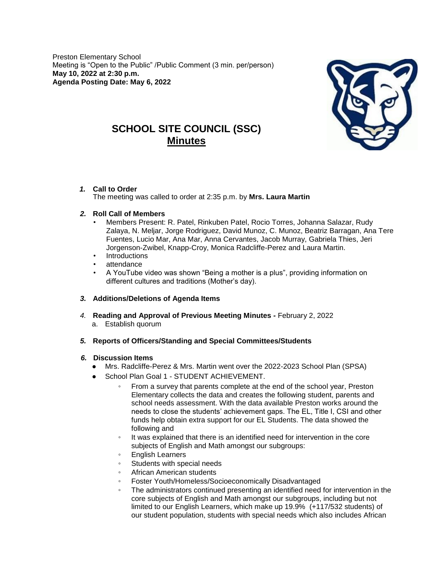Preston Elementary School Meeting is "Open to the Public" /Public Comment (3 min. per/person) **May 10, 2022 at 2:30 p.m. Agenda Posting Date: May 6, 2022**



# **SCHOOL SITE COUNCIL (SSC) Minutes**

*1.* **Call to Order** 

The meeting was called to order at 2:35 p.m. by **Mrs. Laura Martin**

## *2.* **Roll Call of Members**

- Members Present: R. Patel, Rinkuben Patel, Rocio Torres, Johanna Salazar, Rudy Zalaya, N. Meljar, Jorge Rodriguez, David Munoz, C. Munoz, Beatriz Barragan, Ana Tere Fuentes, Lucio Mar, Ana Mar, Anna Cervantes, Jacob Murray, Gabriela Thies, Jeri Jorgenson-Zwibel, Knapp-Croy, Monica Radcliffe-Perez and Laura Martin.
- **Introductions**
- attendance
- A YouTube video was shown "Being a mother is a plus", providing information on different cultures and traditions (Mother's day).

## *3.* **Additions/Deletions of Agenda Items**

- *4.* **Reading and Approval of Previous Meeting Minutes** *-* February 2, 2022 a. Establish quorum
- *5.* **Reports of Officers/Standing and Special Committees/Students**

### *6.* **Discussion Items**

- Mrs. Radcliffe-Perez & Mrs. Martin went over the 2022-2023 School Plan (SPSA)
- School Plan Goal 1 STUDENT ACHIEVEMENT.
	- From a survey that parents complete at the end of the school year, Preston Elementary collects the data and creates the following student, parents and school needs assessment. With the data available Preston works around the needs to close the students' achievement gaps. The EL, Title I, CSI and other funds help obtain extra support for our EL Students. The data showed the following and
	- It was explained that there is an identified need for intervention in the core subjects of English and Math amongst our subgroups:
	- English Learners
	- Students with special needs
	- African American students
	- Foster Youth/Homeless/Socioeconomically Disadvantaged
	- The administrators continued presenting an identified need for intervention in the core subjects of English and Math amongst our subgroups, including but not limited to our English Learners, which make up 19.9% (+117/532 students) of our student population, students with special needs which also includes African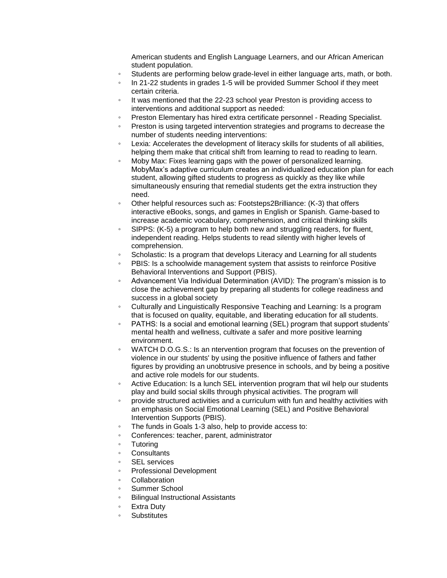American students and English Language Learners, and our African American student population.

- Students are performing below grade-level in either language arts, math, or both.
- In 21-22 students in grades 1-5 will be provided Summer School if they meet certain criteria.
- It was mentioned that the 22-23 school year Preston is providing access to interventions and additional support as needed:
- Preston Elementary has hired extra certificate personnel Reading Specialist.
- Preston is using targeted intervention strategies and programs to decrease the number of students needing interventions:
- Lexia: Accelerates the development of literacy skills for students of all abilities, helping them make that critical shift from learning to read to reading to learn.
- Moby Max: Fixes learning gaps with the power of personalized learning. MobyMax's adaptive curriculum creates an individualized education plan for each student, allowing gifted students to progress as quickly as they like while simultaneously ensuring that remedial students get the extra instruction they need.
- Other helpful resources such as: Footsteps2Brilliance: (K-3) that offers interactive eBooks, songs, and games in English or Spanish. Game-based to increase academic vocabulary, comprehension, and critical thinking skills
- SIPPS: (K-5) a program to help both new and struggling readers, for fluent, independent reading. Helps students to read silently with higher levels of comprehension.
- Scholastic: Is a program that develops Literacy and Learning for all students
- PBIS: Is a schoolwide management system that assists to reinforce Positive Behavioral Interventions and Support (PBIS).
- Advancement Via Individual Determination (AVID): The program's mission is to close the achievement gap by preparing all students for college readiness and success in a global society
- Culturally and Linguistically Responsive Teaching and Learning: Is a program that is focused on quality, equitable, and liberating education for all students.
- PATHS: Is a social and emotional learning (SEL) program that support students' mental health and wellness, cultivate a safer and more positive learning environment.
- WATCH D.O.G.S.: Is an ntervention program that focuses on the prevention of violence in our students' by using the positive influence of fathers and father figures by providing an unobtrusive presence in schools, and by being a positive and active role models for our students.
- Active Education: Is a lunch SEL intervention program that wil help our students play and build social skills through physical activities. The program will
- provide structured activities and a curriculum with fun and healthy activities with an emphasis on Social Emotional Learning (SEL) and Positive Behavioral Intervention Supports (PBIS).
- The funds in Goals 1-3 also, help to provide access to:
- Conferences: teacher, parent, administrator
- Tutoring
- **Consultants**
- **SEL** services
- Professional Development
- **Collaboration**
- Summer School
- Bilingual Instructional Assistants
- **Extra Duty**
- **Substitutes**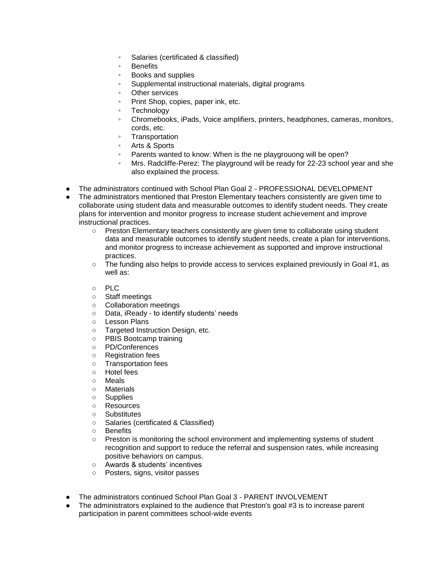- Salaries (certificated & classified)
- Benefits
- Books and supplies
- Supplemental instructional materials, digital programs
- Other services
- Print Shop, copies, paper ink, etc.
- Technology
- Chromebooks, iPads, Voice amplifiers, printers, headphones, cameras, monitors, cords, etc.
- **Transportation**
- Arts & Sports
- Parents wanted to know: When is the ne playgrouong will be open?
- Mrs. Radcliffe-Perez: The playground will be ready for 22-23 school year and she also explained the process.
- The administrators continued with School Plan Goal 2 PROFESSIONAL DEVELOPMENT
- The administrators mentioned that Preston Elementary teachers consistently are given time to collaborate using student data and measurable outcomes to identify student needs. They create plans for intervention and monitor progress to increase student achievement and improve instructional practices.
	- Preston Elementary teachers consistently are given time to collaborate using student data and measurable outcomes to identify student needs, create a plan for interventions, and monitor progress to increase achievement as supported and improve instructional practices.
	- The funding also helps to provide access to services explained previously in Goal #1, as well as:
	- PLC
	- Staff meetings
	- Collaboration meetings
	- Data, iReady to identify students' needs
	- Lesson Plans
	- Targeted Instruction Design, etc.<br>○ PBIS Bootcamp training
	- PBIS Bootcamp training
	- PD/Conferences
	- Registration fees
	- Transportation fees
	- Hotel fees
	- Meals
	- Materials
	- Supplies
	- Resources
	- Substitutes
	- Salaries (certificated & Classified)
	- Benefits
	- Preston is monitoring the school environment and implementing systems of student recognition and support to reduce the referral and suspension rates, while increasing positive behaviors on campus.
	- Awards & students' incentives
	- Posters, signs, visitor passes
- The administrators continued School Plan Goal 3 PARENT INVOLVEMENT
- The administrators explained to the audience that Preston's goal #3 is to increase parent participation in parent committees school-wide events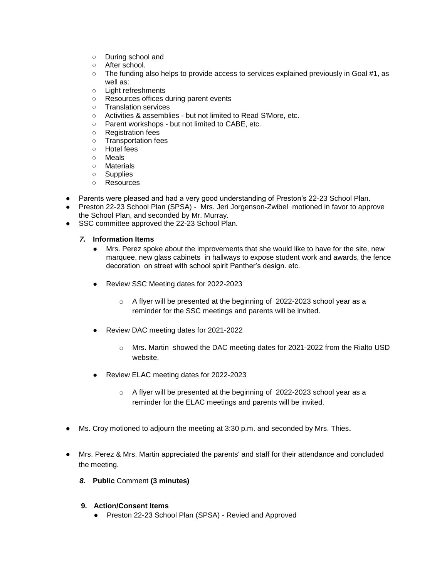- During school and
- After school.
- The funding also helps to provide access to services explained previously in Goal #1, as well as:
- Light refreshments
- Resources offices during parent events
- Translation services
- Activities & assemblies but not limited to Read S'More, etc.
- Parent workshops but not limited to CABE, etc.
- Registration fees
- Transportation fees
- Hotel fees
- Meals
- Materials
- Supplies
- Resources
- Parents were pleased and had a very good understanding of Preston's 22-23 School Plan.
- Preston 22-23 School Plan (SPSA) Mrs. Jeri Jorgenson-Zwibel motioned in favor to approve the School Plan, and seconded by Mr. Murray.
- SSC committee approved the 22-23 School Plan.

#### *7.* **Information Items**

- Mrs. Perez spoke about the improvements that she would like to have for the site, new marquee, new glass cabinets in hallways to expose student work and awards, the fence decoration on street with school spirit Panther's design. etc.
- Review SSC Meeting dates for 2022-2023
	- o A flyer will be presented at the beginning of 2022-2023 school year as a reminder for the SSC meetings and parents will be invited.
- Review DAC meeting dates for 2021-2022
	- o Mrs. Martin showed the DAC meeting dates for 2021-2022 from the Rialto USD website.
- Review ELAC meeting dates for 2022-2023
	- o A flyer will be presented at the beginning of 2022-2023 school year as a reminder for the ELAC meetings and parents will be invited.
- Ms. Croy motioned to adjourn the meeting at 3:30 p.m. and seconded by Mrs. Thies**.**
- Mrs. Perez & Mrs. Martin appreciated the parents' and staff for their attendance and concluded the meeting.
	- *8.* **Public** Comment **(3 minutes)**
	- **9. Action/Consent Items**
		- Preston 22-23 School Plan (SPSA) Revied and Approved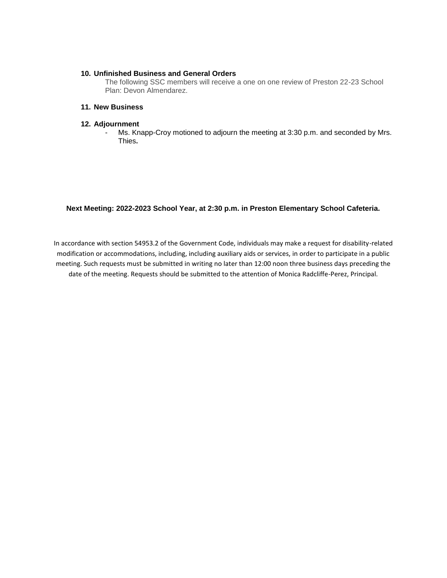#### **10. Unfinished Business and General Orders**

The following SSC members will receive a one on one review of Preston 22-23 School Plan: Devon Almendarez.

#### **11. New Business**

#### **12. Adjournment**

- Ms. Knapp-Croy motioned to adjourn the meeting at 3:30 p.m. and seconded by Mrs. Thies**.**

#### **Next Meeting: 2022-2023 School Year, at 2:30 p.m. in Preston Elementary School Cafeteria.**

In accordance with section 54953.2 of the Government Code, individuals may make a request for disability-related modification or accommodations, including, including auxiliary aids or services, in order to participate in a public meeting. Such requests must be submitted in writing no later than 12:00 noon three business days preceding the date of the meeting. Requests should be submitted to the attention of Monica Radcliffe-Perez, Principal.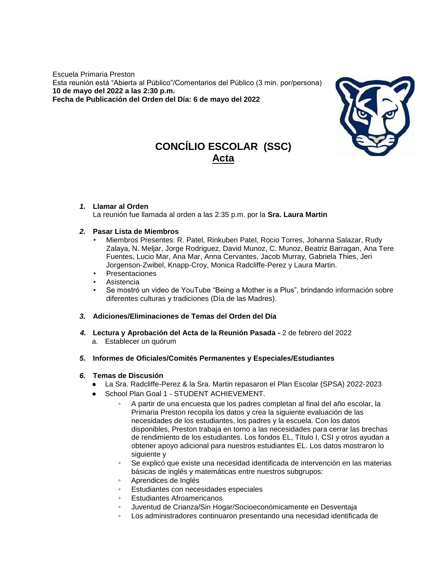Escuela Primaria Preston Esta reunión está "Abierta al Público"/Comentarios del Público (3 min. por/persona) **10 de mayo del 2022 a las 2:30 p.m. Fecha de Publicación del Orden del Día: 6 de mayo del 2022**



# **CONCÍLIO ESCOLAR (SSC) Acta**

#### *1.* **Llamar al Orden**

La reunión fue llamada al orden a las 2:35 p.m. por la **Sra. Laura Martin**

#### *2.* **Pasar Lista de Miembros**

- Miembros Presentes: R. Patel, Rinkuben Patel, Rocio Torres, Johanna Salazar, Rudy Zalaya, N. Meljar, Jorge Rodriguez, David Munoz, C. Munoz, Beatriz Barragan, Ana Tere Fuentes, Lucio Mar, Ana Mar, Anna Cervantes, Jacob Murray, Gabriela Thies, Jeri Jorgenson-Zwibel, Knapp-Croy, Monica Radcliffe-Perez y Laura Martin.
- **Presentaciones**
- **Asistencia**
- Se mostró un video de YouTube "Being a Mother is a Plus", brindando información sobre diferentes culturas y tradiciones (Día de las Madres).
- *3.* **Adiciones/Eliminaciones de Temas del Orden del Día**
- *4.* **Lectura y Aprobación del Acta de la Reunión Pasada** *-* 2 de febrero del 2022 a. Establecer un quórum
- *5.* **Informes de Oficiales/Comités Permanentes y Especiales/Estudiantes**

### *6.* **Temas de Discusión**

- La Sra. Radcliffe-Perez & la Sra. Martin repasaron el Plan Escolar (SPSA) 2022-2023
	- School Plan Goal 1 STUDENT ACHIEVEMENT.
		- A partir de una encuesta que los padres completan al final del año escolar, la Primaria Preston recopila los datos y crea la siguiente evaluación de las necesidades de los estudiantes, los padres y la escuela. Con los datos disponibles, Preston trabaja en torno a las necesidades para cerrar las brechas de rendimiento de los estudiantes. Los fondos EL, Título I, CSI y otros ayudan a obtener apoyo adicional para nuestros estudiantes EL. Los datos mostraron lo siguiente y
		- Se explicó que existe una necesidad identificada de intervención en las materias básicas de inglés y matemáticas entre nuestros subgrupos:
		- Aprendices de Inglés
		- Estudiantes con necesidades especiales
		- Estudiantes Afroamericanos
		- Juventud de Crianza/Sin Hogar/Socioeconómicamente en Desventaja
		- Los administradores continuaron presentando una necesidad identificada de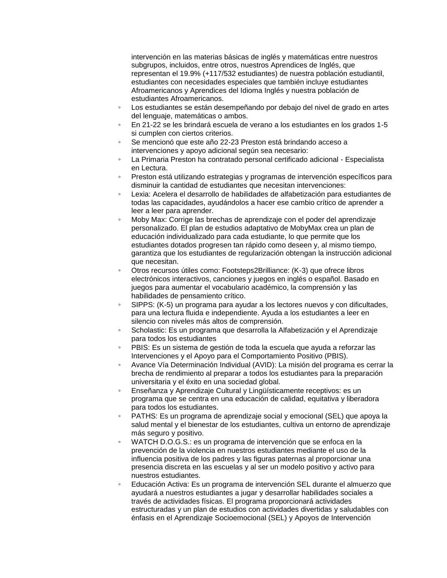intervención en las materias básicas de inglés y matemáticas entre nuestros subgrupos, incluidos, entre otros, nuestros Aprendices de Inglés, que representan el 19.9% (+117/532 estudiantes) de nuestra población estudiantil, estudiantes con necesidades especiales que también incluye estudiantes Afroamericanos y Aprendices del Idioma Inglés y nuestra población de estudiantes Afroamericanos.

- Los estudiantes se están desempeñando por debajo del nivel de grado en artes del lenguaje, matemáticas o ambos.
- En 21-22 se les brindará escuela de verano a los estudiantes en los grados 1-5 si cumplen con ciertos criterios.
- Se mencionó que este año 22-23 Preston está brindando acceso a intervenciones y apoyo adicional según sea necesario:
- La Primaria Preston ha contratado personal certificado adicional Especialista en Lectura.
- Preston está utilizando estrategias y programas de intervención específicos para disminuir la cantidad de estudiantes que necesitan intervenciones:
- Lexia: Acelera el desarrollo de habilidades de alfabetización para estudiantes de todas las capacidades, ayudándolos a hacer ese cambio crítico de aprender a leer a leer para aprender.
- Moby Max: Corrige las brechas de aprendizaje con el poder del aprendizaje personalizado. El plan de estudios adaptativo de MobyMax crea un plan de educación individualizado para cada estudiante, lo que permite que los estudiantes dotados progresen tan rápido como deseen y, al mismo tiempo, garantiza que los estudiantes de regularización obtengan la instrucción adicional que necesitan.
- Otros recursos útiles como: Footsteps2Brilliance: (K-3) que ofrece libros electrónicos interactivos, canciones y juegos en inglés o español. Basado en juegos para aumentar el vocabulario académico, la comprensión y las habilidades de pensamiento crítico.
- SIPPS: (K-5) un programa para ayudar a los lectores nuevos y con dificultades, para una lectura fluida e independiente. Ayuda a los estudiantes a leer en silencio con niveles más altos de comprensión.
- Scholastic: Es un programa que desarrolla la Alfabetización y el Aprendizaje para todos los estudiantes
- PBIS: Es un sistema de gestión de toda la escuela que ayuda a reforzar las Intervenciones y el Apoyo para el Comportamiento Positivo (PBIS).
- Avance Vía Determinación Individual (AVID): La misión del programa es cerrar la brecha de rendimiento al preparar a todos los estudiantes para la preparación universitaria y el éxito en una sociedad global.
- Enseñanza y Aprendizaje Cultural y Lingüísticamente receptivos: es un programa que se centra en una educación de calidad, equitativa y liberadora para todos los estudiantes.
- PATHS: Es un programa de aprendizaje social y emocional (SEL) que apoya la salud mental y el bienestar de los estudiantes, cultiva un entorno de aprendizaje más seguro y positivo.
- WATCH D.O.G.S.: es un programa de intervención que se enfoca en la prevención de la violencia en nuestros estudiantes mediante el uso de la influencia positiva de los padres y las figuras paternas al proporcionar una presencia discreta en las escuelas y al ser un modelo positivo y activo para nuestros estudiantes.
- Educación Activa: Es un programa de intervención SEL durante el almuerzo que ayudará a nuestros estudiantes a jugar y desarrollar habilidades sociales a través de actividades físicas. El programa proporcionará actividades estructuradas y un plan de estudios con actividades divertidas y saludables con énfasis en el Aprendizaje Socioemocional (SEL) y Apoyos de Intervención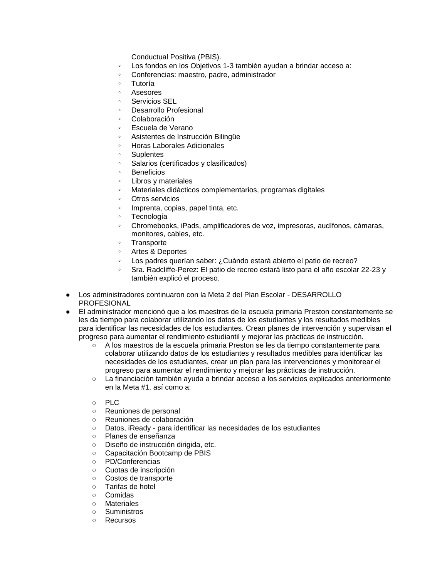Conductual Positiva (PBIS).

- Los fondos en los Objetivos 1-3 también ayudan a brindar acceso a:
- Conferencias: maestro, padre, administrador
- **Tutoría**
- **Asesores**
- Servicios SEL
- Desarrollo Profesional
- Colaboración
- Escuela de Verano
- Asistentes de Instrucción Bilingüe
- Horas Laborales Adicionales
- **Suplentes**
- Salarios (certificados y clasificados)
- **Beneficios**
- Libros y materiales
- Materiales didácticos complementarios, programas digitales
- Otros servicios
- Imprenta, copias, papel tinta, etc.
- Tecnología
- Chromebooks, iPads, amplificadores de voz, impresoras, audífonos, cámaras, monitores, cables, etc.
- Transporte
- Artes & Deportes
- Los padres querían saber: ¿Cuándo estará abierto el patio de recreo?
- Sra. Radcliffe-Perez: El patio de recreo estará listo para el año escolar 22-23 y también explicó el proceso.
- Los administradores continuaron con la Meta 2 del Plan Escolar DESARROLLO **PROFESIONAL**
- El administrador mencionó que a los maestros de la escuela primaria Preston constantemente se les da tiempo para colaborar utilizando los datos de los estudiantes y los resultados medibles para identificar las necesidades de los estudiantes. Crean planes de intervención y supervisan el progreso para aumentar el rendimiento estudiantil y mejorar las prácticas de instrucción.
	- A los maestros de la escuela primaria Preston se les da tiempo constantemente para colaborar utilizando datos de los estudiantes y resultados medibles para identificar las necesidades de los estudiantes, crear un plan para las intervenciones y monitorear el progreso para aumentar el rendimiento y mejorar las prácticas de instrucción.
	- La financiación también ayuda a brindar acceso a los servicios explicados anteriormente en la Meta #1, así como a:
	- PLC
	- Reuniones de personal
	- Reuniones de colaboración
	- Datos, iReady para identificar las necesidades de los estudiantes
	- Planes de enseñanza
	- Diseño de instrucción dirigida, etc.
	- Capacitación Bootcamp de PBIS
	- PD/Conferencias
	- Cuotas de inscripción
	- Costos de transporte
	- Tarifas de hotel
	- Comidas
	- Materiales
	- Suministros
	- Recursos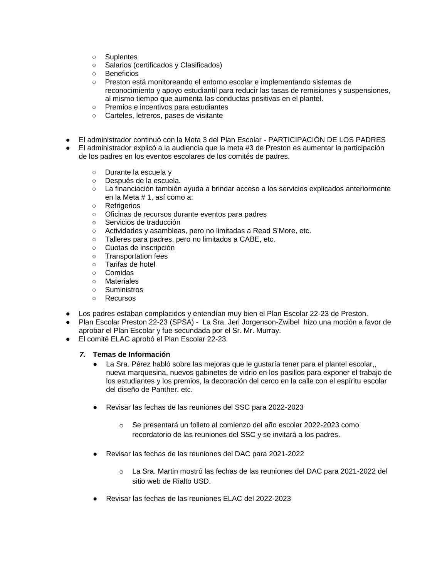- Suplentes
- Salarios (certificados y Clasificados)
- Beneficios
- Preston está monitoreando el entorno escolar e implementando sistemas de reconocimiento y apoyo estudiantil para reducir las tasas de remisiones y suspensiones, al mismo tiempo que aumenta las conductas positivas en el plantel.
- Premios e incentivos para estudiantes
- Carteles, letreros, pases de visitante
- El administrador continuó con la Meta 3 del Plan Escolar PARTICIPACIÓN DE LOS PADRES
- El administrador explicó a la audiencia que la meta #3 de Preston es aumentar la participación de los padres en los eventos escolares de los comités de padres.
	- Durante la escuela y<br>○ Después de la escue
	- Después de la escuela.
	- La financiación también ayuda a brindar acceso a los servicios explicados anteriormente en la Meta # 1, así como a:
	- Refrigerios
	- Oficinas de recursos durante eventos para padres
	- Servicios de traducción
	- Actividades y asambleas, pero no limitadas a Read S'More, etc.
	- Talleres para padres, pero no limitados a CABE, etc.
	- Cuotas de inscripción
	- Transportation fees
	- Tarifas de hotel
	- Comidas<br>○ Materiale
	- **Materiales**
	- Suministros
	- Recursos
- Los padres estaban complacidos y entendían muy bien el Plan Escolar 22-23 de Preston.
- Plan Escolar Preston 22-23 (SPSA) La Sra. Jeri Jorgenson-Zwibel hizo una moción a favor de aprobar el Plan Escolar y fue secundada por el Sr. Mr. Murray.
- El comité ELAC aprobó el Plan Escolar 22-23.

### *7.* **Temas de Información**

- La Sra. Pérez habló sobre las mejoras que le gustaría tener para el plantel escolar,, nueva marquesina, nuevos gabinetes de vidrio en los pasillos para exponer el trabajo de los estudiantes y los premios, la decoración del cerco en la calle con el espíritu escolar del diseño de Panther. etc.
- Revisar las fechas de las reuniones del SSC para 2022-2023
	- o Se presentará un folleto al comienzo del año escolar 2022-2023 como recordatorio de las reuniones del SSC y se invitará a los padres.
- Revisar las fechas de las reuniones del DAC para 2021-2022
	- o La Sra. Martin mostró las fechas de las reuniones del DAC para 2021-2022 del sitio web de Rialto USD.
- Revisar las fechas de las reuniones ELAC del 2022-2023